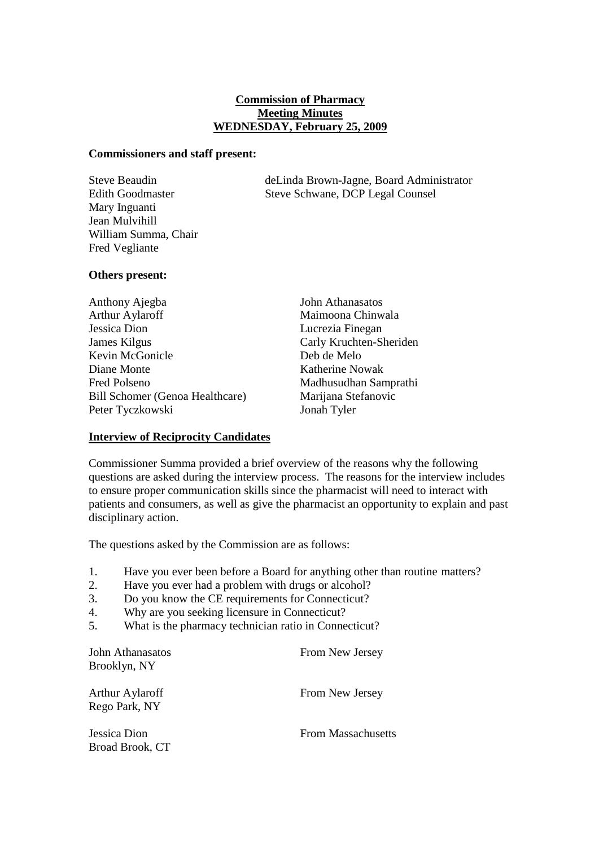### **Commission of Pharmacy Meeting Minutes WEDNESDAY, February 25, 2009**

#### **Commissioners and staff present:**

Mary Inguanti Jean Mulvihill William Summa, Chair Fred Vegliante

Steve Beaudin deLinda Brown-Jagne, Board Administrator Edith Goodmaster Steve Schwane, DCP Legal Counsel

## **Others present:**

| Anthony Ajegba                         |
|----------------------------------------|
| <b>Arthur Aylaroff</b>                 |
| Jessica Dion                           |
| James Kilgus                           |
| Kevin McGonicle                        |
| Diane Monte                            |
| Fred Polseno                           |
| <b>Bill Schomer (Genoa Healthcare)</b> |
| Peter Tyczkowski                       |

John Athanasatos Maimoona Chinwala Lucrezia Finegan Carly Kruchten-Sheriden Deb de Melo Katherine Nowak Madhusudhan Samprathi Marijana Stefanovic Jonah Tyler

## **Interview of Reciprocity Candidates**

Commissioner Summa provided a brief overview of the reasons why the following questions are asked during the interview process. The reasons for the interview includes to ensure proper communication skills since the pharmacist will need to interact with patients and consumers, as well as give the pharmacist an opportunity to explain and past disciplinary action.

The questions asked by the Commission are as follows:

- 1. Have you ever been before a Board for anything other than routine matters?
- 2. Have you ever had a problem with drugs or alcohol?
- 3. Do you know the CE requirements for Connecticut?
- 4. Why are you seeking licensure in Connecticut?
- 5. What is the pharmacy technician ratio in Connecticut?

| John Athanasatos<br>Brooklyn, NY | From New Jersey           |
|----------------------------------|---------------------------|
| Arthur Aylaroff<br>Rego Park, NY | From New Jersey           |
| Jessica Dion<br>Broad Brook, CT  | <b>From Massachusetts</b> |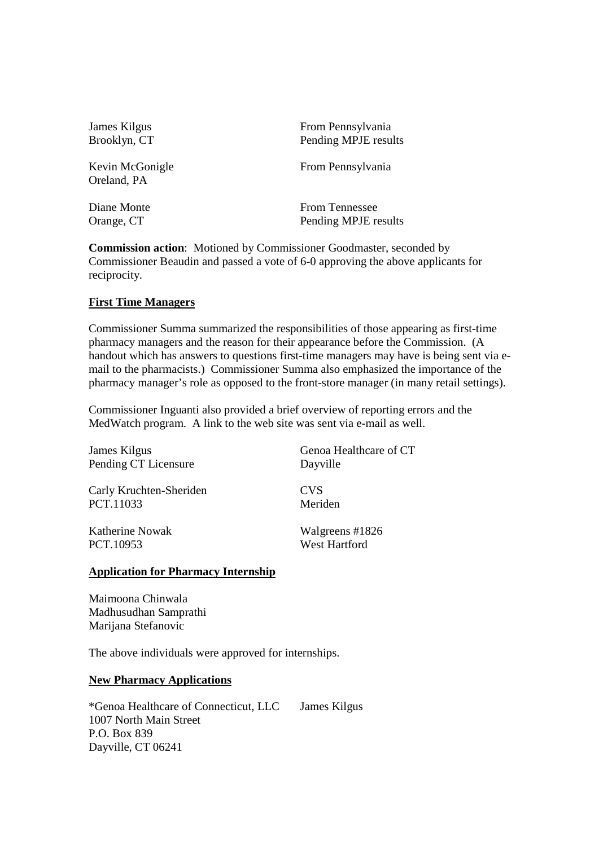| James Kilgus                   | From Pennsylvania     |
|--------------------------------|-----------------------|
| Brooklyn, CT                   | Pending MPJE results  |
| Kevin McGonigle<br>Oreland, PA | From Pennsylvania     |
| Diane Monte                    | <b>From Tennessee</b> |
| Orange, CT                     | Pending MPJE results  |

**Commission action**: Motioned by Commissioner Goodmaster, seconded by Commissioner Beaudin and passed a vote of 6-0 approving the above applicants for reciprocity.

#### **First Time Managers**

Commissioner Summa summarized the responsibilities of those appearing as first-time pharmacy managers and the reason for their appearance before the Commission. (A handout which has answers to questions first-time managers may have is being sent via email to the pharmacists.) Commissioner Summa also emphasized the importance of the pharmacy manager's role as opposed to the front-store manager (in many retail settings).

Commissioner Inguanti also provided a brief overview of reporting errors and the MedWatch program. A link to the web site was sent via e-mail as well.

| James Kilgus            | Genoa Healthcare of CT |
|-------------------------|------------------------|
| Pending CT Licensure    | Dayville               |
| Carly Kruchten-Sheriden | <b>CVS</b>             |
| PCT.11033               | Meriden                |
| Katherine Nowak         | Walgreens #1826        |
| PCT.10953               | West Hartford          |

#### **Application for Pharmacy Internship**

Maimoona Chinwala Madhusudhan Samprathi Marijana Stefanovic

The above individuals were approved for internships.

#### **New Pharmacy Applications**

\*Genoa Healthcare of Connecticut, LLC James Kilgus 1007 North Main Street P.O. Box 839 Dayville, CT 06241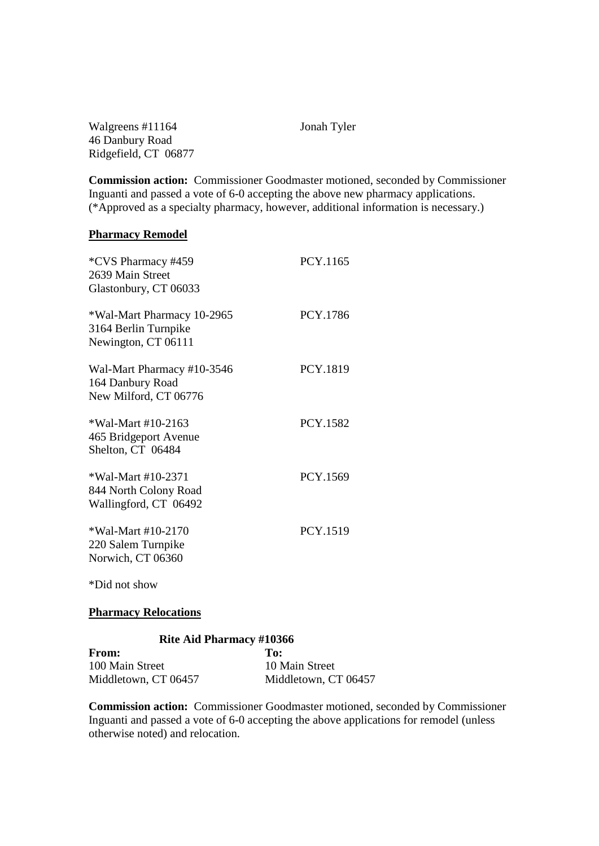Walgreens #11164 Jonah Tyler 46 Danbury Road Ridgefield, CT 06877

**Commission action:** Commissioner Goodmaster motioned, seconded by Commissioner Inguanti and passed a vote of 6-0 accepting the above new pharmacy applications. (\*Approved as a specialty pharmacy, however, additional information is necessary.)

#### **Pharmacy Remodel**

| *CVS Pharmacy #459<br>2639 Main Street<br>Glastonbury, CT 06033           | PCY.1165 |
|---------------------------------------------------------------------------|----------|
| *Wal-Mart Pharmacy 10-2965<br>3164 Berlin Turnpike<br>Newington, CT 06111 | PCY.1786 |
| Wal-Mart Pharmacy #10-3546<br>164 Danbury Road<br>New Milford, CT 06776   | PCY.1819 |
| *Wal-Mart #10-2163<br>465 Bridgeport Avenue<br>Shelton, CT 06484          | PCY.1582 |
| *Wal-Mart #10-2371<br>844 North Colony Road<br>Wallingford, CT 06492      | PCY.1569 |
| *Wal-Mart #10-2170<br>220 Salem Turnpike<br>Norwich, CT 06360             | PCY.1519 |
| *Did not show                                                             |          |

#### **Pharmacy Relocations**

#### **Rite Aid Pharmacy #10366**

**From: To: To: To: 100 Main Street** 100 Main Street Middletown, CT 06457 Middletown, CT 06457

**Commission action:** Commissioner Goodmaster motioned, seconded by Commissioner Inguanti and passed a vote of 6-0 accepting the above applications for remodel (unless otherwise noted) and relocation.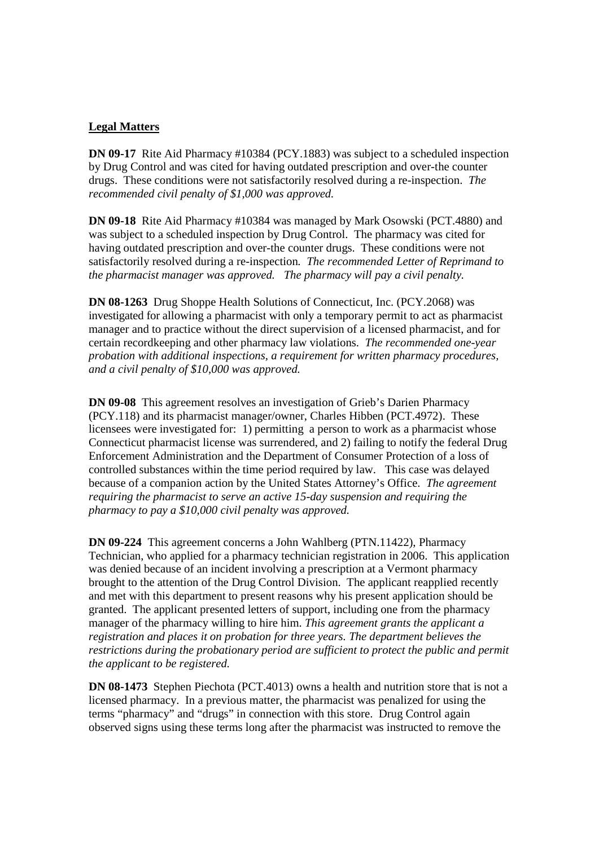## **Legal Matters**

**DN 09-17** Rite Aid Pharmacy #10384 (PCY.1883) was subject to a scheduled inspection by Drug Control and was cited for having outdated prescription and over-the counter drugs. These conditions were not satisfactorily resolved during a re-inspection. *The recommended civil penalty of \$1,000 was approved.*

**DN 09-18** Rite Aid Pharmacy #10384 was managed by Mark Osowski (PCT.4880) and was subject to a scheduled inspection by Drug Control. The pharmacy was cited for having outdated prescription and over-the counter drugs. These conditions were not satisfactorily resolved during a re-inspection*. The recommended Letter of Reprimand to the pharmacist manager was approved. The pharmacy will pay a civil penalty.* 

**DN 08-1263** Drug Shoppe Health Solutions of Connecticut, Inc. (PCY.2068) was investigated for allowing a pharmacist with only a temporary permit to act as pharmacist manager and to practice without the direct supervision of a licensed pharmacist, and for certain recordkeeping and other pharmacy law violations. *The recommended one-year probation with additional inspections, a requirement for written pharmacy procedures, and a civil penalty of \$10,000 was approved.* 

**DN 09-08** This agreement resolves an investigation of Grieb's Darien Pharmacy (PCY.118) and its pharmacist manager/owner, Charles Hibben (PCT.4972). These licensees were investigated for: 1) permitting a person to work as a pharmacist whose Connecticut pharmacist license was surrendered, and 2) failing to notify the federal Drug Enforcement Administration and the Department of Consumer Protection of a loss of controlled substances within the time period required by law. This case was delayed because of a companion action by the United States Attorney's Office. *The agreement requiring the pharmacist to serve an active 15-day suspension and requiring the pharmacy to pay a \$10,000 civil penalty was approved.*

**DN 09-224** This agreement concerns a John Wahlberg (PTN.11422), Pharmacy Technician, who applied for a pharmacy technician registration in 2006. This application was denied because of an incident involving a prescription at a Vermont pharmacy brought to the attention of the Drug Control Division. The applicant reapplied recently and met with this department to present reasons why his present application should be granted. The applicant presented letters of support, including one from the pharmacy manager of the pharmacy willing to hire him. *This agreement grants the applicant a registration and places it on probation for three years. The department believes the restrictions during the probationary period are sufficient to protect the public and permit the applicant to be registered.*

**DN 08-1473** Stephen Piechota (PCT.4013) owns a health and nutrition store that is not a licensed pharmacy. In a previous matter, the pharmacist was penalized for using the terms "pharmacy" and "drugs" in connection with this store. Drug Control again observed signs using these terms long after the pharmacist was instructed to remove the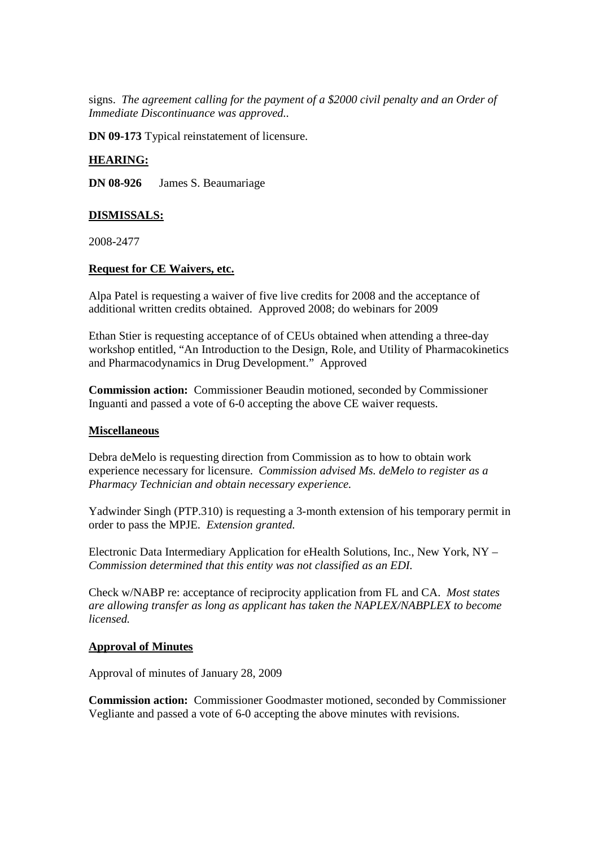signs. *The agreement calling for the payment of a \$2000 civil penalty and an Order of Immediate Discontinuance was approved..*

**DN 09-173** Typical reinstatement of licensure.

## **HEARING:**

**DN 08-926** James S. Beaumariage

## **DISMISSALS:**

2008-2477

## **Request for CE Waivers, etc.**

Alpa Patel is requesting a waiver of five live credits for 2008 and the acceptance of additional written credits obtained. Approved 2008; do webinars for 2009

Ethan Stier is requesting acceptance of of CEUs obtained when attending a three-day workshop entitled, "An Introduction to the Design, Role, and Utility of Pharmacokinetics and Pharmacodynamics in Drug Development." Approved

**Commission action:** Commissioner Beaudin motioned, seconded by Commissioner Inguanti and passed a vote of 6-0 accepting the above CE waiver requests.

## **Miscellaneous**

Debra deMelo is requesting direction from Commission as to how to obtain work experience necessary for licensure. *Commission advised Ms. deMelo to register as a Pharmacy Technician and obtain necessary experience.*

Yadwinder Singh (PTP.310) is requesting a 3-month extension of his temporary permit in order to pass the MPJE. *Extension granted.*

Electronic Data Intermediary Application for eHealth Solutions, Inc., New York, NY – *Commission determined that this entity was not classified as an EDI.*

Check w/NABP re: acceptance of reciprocity application from FL and CA. *Most states are allowing transfer as long as applicant has taken the NAPLEX/NABPLEX to become licensed.*

#### **Approval of Minutes**

Approval of minutes of January 28, 2009

**Commission action:** Commissioner Goodmaster motioned, seconded by Commissioner Vegliante and passed a vote of 6-0 accepting the above minutes with revisions.